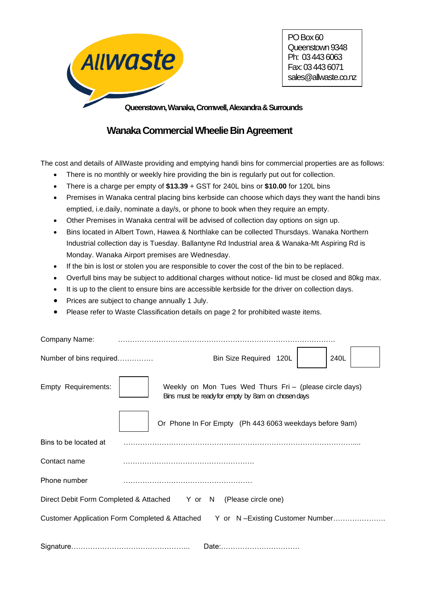

PO Box 60 Queenstown 9348 Ph: 03 443 6063 Fax: 03 443 6071 sales@allwaste.co.nz

**Queenstown, Wanaka, Cromwell, Alexandra & Surrounds**

# **WanakaCommercial Wheelie Bin Agreement**

The cost and details of AllWaste providing and emptying handi bins for commercial properties are as follows:

- There is no monthly or weekly hire providing the bin is regularly put out for collection.
- There is a charge per empty of **\$13.39** + GST for 240L bins or **\$10.00** for 120L bins
- Premises in Wanaka central placing bins kerbside can choose which days they want the handi bins emptied, i.e.daily, nominate a day/s, or phone to book when they require an empty.
- Other Premises in Wanaka central will be advised of collection day options on sign up.
- Bins located in Albert Town, Hawea & Northlake can be collected Thursdays. Wanaka Northern Industrial collection day is Tuesday. Ballantyne Rd Industrial area & Wanaka-Mt Aspiring Rd is Monday. Wanaka Airport premises are Wednesday.
- If the bin is lost or stolen you are responsible to cover the cost of the bin to be replaced.
- Overfull bins may be subject to additional charges without notice- lid must be closed and 80kg max.
- It is up to the client to ensure bins are accessible kerbside for the driver on collection days.
- Prices are subject to change annually 1 July.
- Please refer to Waste Classification details on page 2 for prohibited waste items.

| Company Name:           |                                                                                                               |
|-------------------------|---------------------------------------------------------------------------------------------------------------|
| Number of bins required | Bin Size Required 120L<br>240L                                                                                |
| Empty Requirements:     | Weekly on Mon Tues Wed Thurs Fri - (please circle days)<br>Bins must be ready for empty by 8am on chosen days |
|                         | Or Phone In For Empty (Ph 443 6063 weekdays before 9am)                                                       |
| Bins to be located at   |                                                                                                               |
| Contact name            |                                                                                                               |
| Phone number            |                                                                                                               |
|                         | Direct Debit Form Completed & Attached Y or N (Please circle one)                                             |
|                         | Customer Application Form Completed & Attached Y or N-Existing Customer Number                                |
|                         | Date:                                                                                                         |